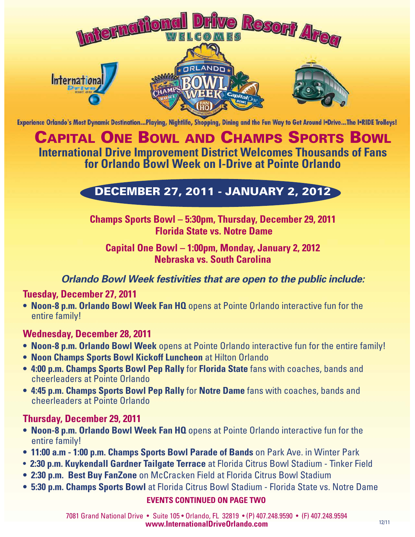

Experience Orlando's Most Dynamic Destination...Playing, Nightlife, Shopping, Dining and the Fun Way to Get Around I.Drive...The I.RIDE Trolleys!

## CAPITAL ONE BOWL AND CHAMPS SPORTS BOWL **International Drive Improvement District Welcomes Thousands of Fans for Orlando Bowl Week on I-Drive at Pointe Orlando**

# DECEMBER 27, 2011 - JANUARY 2, 2012

### **Champs Sports Bowl – 5:30pm, Thursday, December 29, 2011 Florida State vs. Notre Dame**

#### **Capital One Bowl – 1:00pm, Monday, January 2, 2012 Nebraska vs. South Carolina**

#### **Orlando Bowl Week festivities that are open to the public include:**

#### **Tuesday, December 27, 2011**

**• Noon-8 p.m. Orlando Bowl Week Fan HQ** opens at Pointe Orlando interactive fun for the entire family!

#### **Wednesday, December 28, 2011**

- **Noon-8 p.m. Orlando Bowl Week** opens at Pointe Orlando interactive fun for the entire family!
- **Noon Champs Sports Bowl Kickoff Luncheon** at Hilton Orlando
- **4:00 p.m. Champs Sports Bowl Pep Rally** for **Florida State** fans with coaches, bands and cheerleaders at Pointe Orlando
- **4:45 p.m. Champs Sports Bowl Pep Rally** for **Notre Dame** fans with coaches, bands and cheerleaders at Pointe Orlando

#### **Thursday, December 29, 2011**

- **Noon-8 p.m. Orlando Bowl Week Fan HQ** opens at Pointe Orlando interactive fun for the entire family!
- **11:00 a.m 1:00 p.m. Champs Sports Bowl Parade of Bands** on Park Ave. in Winter Park
- **2:30 p.m. Kuykendall Gardner Tailgate Terrace** at Florida Citrus Bowl Stadium Tinker Field
- **2:30 p.m. Best Buy FanZone** on McCracken Field at Florida Citrus Bowl Stadium
- **5:30 p.m. Champs Sports Bowl** at Florida Citrus Bowl Stadium Florida State vs. Notre Dame

#### **EVENTS CONTINUED ON PAGE TWO**